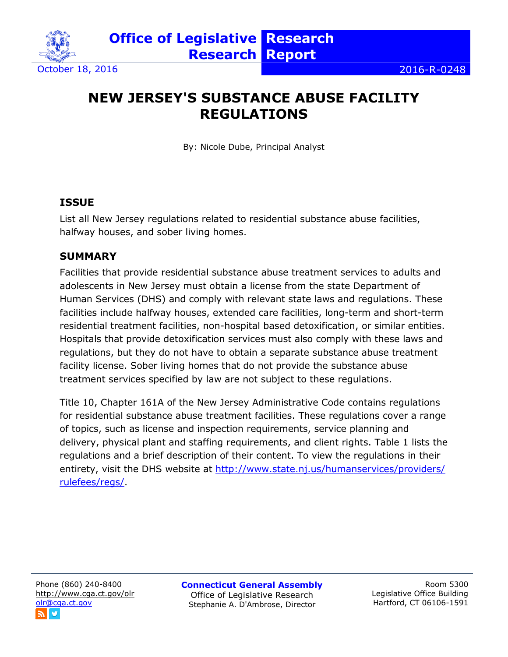

# **NEW JERSEY'S SUBSTANCE ABUSE FACILITY REGULATIONS**

By: Nicole Dube, Principal Analyst

## **ISSUE**

List all New Jersey regulations related to residential substance abuse facilities, halfway houses, and sober living homes.

# **SUMMARY**

Facilities that provide residential substance abuse treatment services to adults and adolescents in New Jersey must obtain a license from the state Department of Human Services (DHS) and comply with relevant state laws and regulations. These facilities include halfway houses, extended care facilities, long-term and short-term residential treatment facilities, non-hospital based detoxification, or similar entities. Hospitals that provide detoxification services must also comply with these laws and regulations, but they do not have to obtain a separate substance abuse treatment facility license. Sober living homes that do not provide the substance abuse treatment services specified by law are not subject to these regulations.

Title 10, Chapter 161A of the New Jersey Administrative Code contains regulations for residential substance abuse treatment facilities. These regulations cover a range of topics, such as license and inspection requirements, service planning and delivery, physical plant and staffing requirements, and client rights. Table 1 lists the regulations and a brief description of their content. To view the regulations in their entirety, visit the DHS website at http://www.state.nj.us/humanservices/providers/ [rulefees/regs/.](http://www.state.nj.us/humanservices/providers/%20rulefees/regs/)

**Connecticut General Assembly** Office of Legislative Research Stephanie A. D'Ambrose, Director

Room 5300 Legislative Office Building Hartford, CT 06106-1591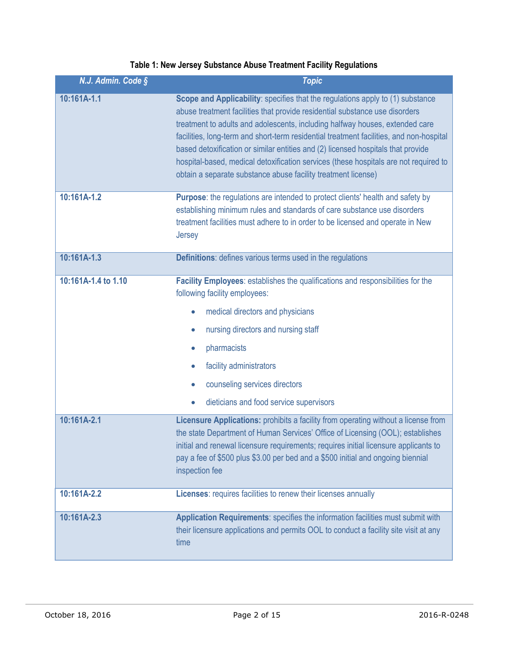### **Table 1: New Jersey Substance Abuse Treatment Facility Regulations**

| N.J. Admin. Code §  | <b>Topic</b>                                                                                                                                                                                                                                                                                                                                                                                                                                                                                                                                                                          |
|---------------------|---------------------------------------------------------------------------------------------------------------------------------------------------------------------------------------------------------------------------------------------------------------------------------------------------------------------------------------------------------------------------------------------------------------------------------------------------------------------------------------------------------------------------------------------------------------------------------------|
| 10:161A-1.1         | Scope and Applicability: specifies that the regulations apply to (1) substance<br>abuse treatment facilities that provide residential substance use disorders<br>treatment to adults and adolescents, including halfway houses, extended care<br>facilities, long-term and short-term residential treatment facilities, and non-hospital<br>based detoxification or similar entities and (2) licensed hospitals that provide<br>hospital-based, medical detoxification services (these hospitals are not required to<br>obtain a separate substance abuse facility treatment license) |
| 10:161A-1.2         | Purpose: the regulations are intended to protect clients' health and safety by<br>establishing minimum rules and standards of care substance use disorders<br>treatment facilities must adhere to in order to be licensed and operate in New<br>Jersey                                                                                                                                                                                                                                                                                                                                |
| 10:161A-1.3         | Definitions: defines various terms used in the regulations                                                                                                                                                                                                                                                                                                                                                                                                                                                                                                                            |
| 10:161A-1.4 to 1.10 | Facility Employees: establishes the qualifications and responsibilities for the<br>following facility employees:<br>medical directors and physicians<br>$\bullet$<br>nursing directors and nursing staff<br>$\bullet$<br>pharmacists<br>$\bullet$<br>facility administrators<br>$\bullet$<br>counseling services directors<br>$\bullet$<br>dieticians and food service supervisors<br>$\bullet$                                                                                                                                                                                       |
| 10:161A-2.1         | Licensure Applications: prohibits a facility from operating without a license from<br>the state Department of Human Services' Office of Licensing (OOL); establishes<br>initial and renewal licensure requirements; requires initial licensure applicants to<br>pay a fee of \$500 plus \$3.00 per bed and a \$500 initial and ongoing biennial<br>inspection fee                                                                                                                                                                                                                     |
| 10:161A-2.2         | Licenses: requires facilities to renew their licenses annually                                                                                                                                                                                                                                                                                                                                                                                                                                                                                                                        |
| 10:161A-2.3         | Application Requirements: specifies the information facilities must submit with<br>their licensure applications and permits OOL to conduct a facility site visit at any<br>time                                                                                                                                                                                                                                                                                                                                                                                                       |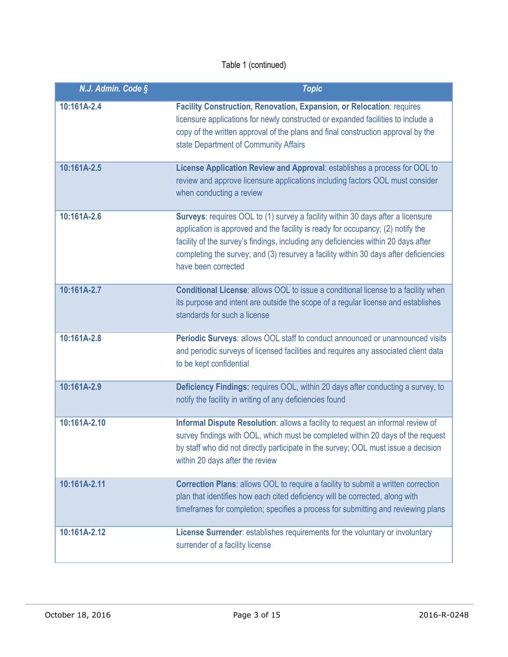| N.J. Admin. Code § | <b>Topic</b>                                                                                                                                                                                                                                                                                                                                                            |
|--------------------|-------------------------------------------------------------------------------------------------------------------------------------------------------------------------------------------------------------------------------------------------------------------------------------------------------------------------------------------------------------------------|
| 10:161A-2.4        | Facility Construction, Renovation, Expansion, or Relocation: requires<br>licensure applications for newly constructed or expanded facilities to include a<br>copy of the written approval of the plans and final construction approval by the<br>state Department of Community Affairs                                                                                  |
| 10:161A-2.5        | License Application Review and Approval: establishes a process for OOL to<br>review and approve licensure applications including factors OOL must consider<br>when conducting a review                                                                                                                                                                                  |
| 10:161A-2.6        | Surveys: requires OOL to (1) survey a facility within 30 days after a licensure<br>application is approved and the facility is ready for occupancy; (2) notify the<br>facility of the survey's findings, including any deficiencies within 20 days after<br>completing the survey; and (3) resurvey a facility within 30 days after deficiencies<br>have been corrected |
| 10:161A-2.7        | Conditional License: allows OOL to issue a conditional license to a facility when<br>its purpose and intent are outside the scope of a regular license and establishes<br>standards for such a license                                                                                                                                                                  |
| 10:161A-2.8        | Periodic Surveys: allows OOL staff to conduct announced or unannounced visits<br>and periodic surveys of licensed facilities and requires any associated client data<br>to be kept confidential                                                                                                                                                                         |
| 10:161A-2.9        | Deficiency Findings: requires OOL, within 20 days after conducting a survey, to<br>notify the facility in writing of any deficiencies found                                                                                                                                                                                                                             |
| 10:161A-2.10       | Informal Dispute Resolution: allows a facility to request an informal review of<br>survey findings with OOL, which must be completed within 20 days of the request<br>by staff who did not directly participate in the survey; OOL must issue a decision<br>within 20 days after the review                                                                             |
| 10:161A-2.11       | <b>Correction Plans: allows OOL to require a facility to submit a written correction</b><br>plan that identifies how each cited deficiency will be corrected, along with<br>timeframes for completion; specifies a process for submitting and reviewing plans                                                                                                           |
| 10:161A-2.12       | License Surrender: establishes requirements for the voluntary or involuntary<br>surrender of a facility license                                                                                                                                                                                                                                                         |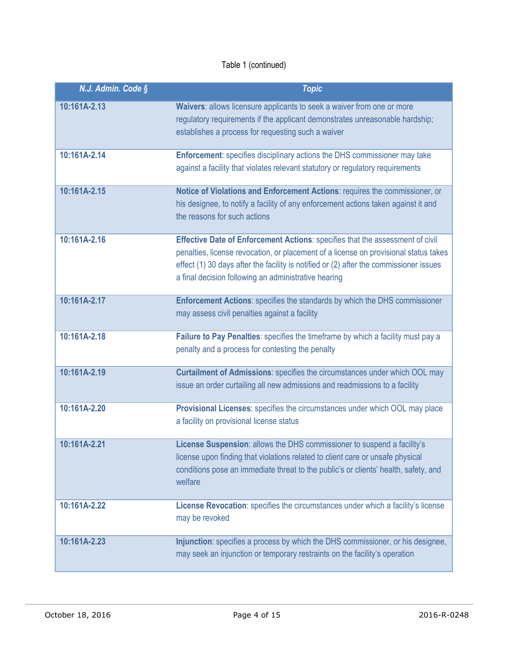| N.J. Admin. Code § | <b>Topic</b>                                                                                                                                                                                                                                                                                                            |
|--------------------|-------------------------------------------------------------------------------------------------------------------------------------------------------------------------------------------------------------------------------------------------------------------------------------------------------------------------|
| 10:161A-2.13       | Waivers: allows licensure applicants to seek a waiver from one or more<br>regulatory requirements if the applicant demonstrates unreasonable hardship;<br>establishes a process for requesting such a waiver                                                                                                            |
| 10:161A-2.14       | Enforcement: specifies disciplinary actions the DHS commissioner may take<br>against a facility that violates relevant statutory or regulatory requirements                                                                                                                                                             |
| 10:161A-2.15       | Notice of Violations and Enforcement Actions: requires the commissioner, or<br>his designee, to notify a facility of any enforcement actions taken against it and<br>the reasons for such actions                                                                                                                       |
| 10:161A-2.16       | Effective Date of Enforcement Actions: specifies that the assessment of civil<br>penalties, license revocation, or placement of a license on provisional status takes<br>effect (1) 30 days after the facility is notified or (2) after the commissioner issues<br>a final decision following an administrative hearing |
| 10:161A-2.17       | Enforcement Actions: specifies the standards by which the DHS commissioner<br>may assess civil penalties against a facility                                                                                                                                                                                             |
| 10:161A-2.18       | Failure to Pay Penalties: specifies the timeframe by which a facility must pay a<br>penalty and a process for contesting the penalty                                                                                                                                                                                    |
| 10:161A-2.19       | Curtailment of Admissions: specifies the circumstances under which OOL may<br>issue an order curtailing all new admissions and readmissions to a facility                                                                                                                                                               |
| 10:161A-2.20       | Provisional Licenses: specifies the circumstances under which OOL may place<br>a facility on provisional license status                                                                                                                                                                                                 |
| 10:161A-2.21       | License Suspension: allows the DHS commissioner to suspend a facility's<br>license upon finding that violations related to client care or unsafe physical<br>conditions pose an immediate threat to the public's or clients' health, safety, and<br>welfare                                                             |
| 10:161A-2.22       | License Revocation: specifies the circumstances under which a facility's license<br>may be revoked                                                                                                                                                                                                                      |
| 10:161A-2.23       | Injunction: specifies a process by which the DHS commissioner, or his designee,<br>may seek an injunction or temporary restraints on the facility's operation                                                                                                                                                           |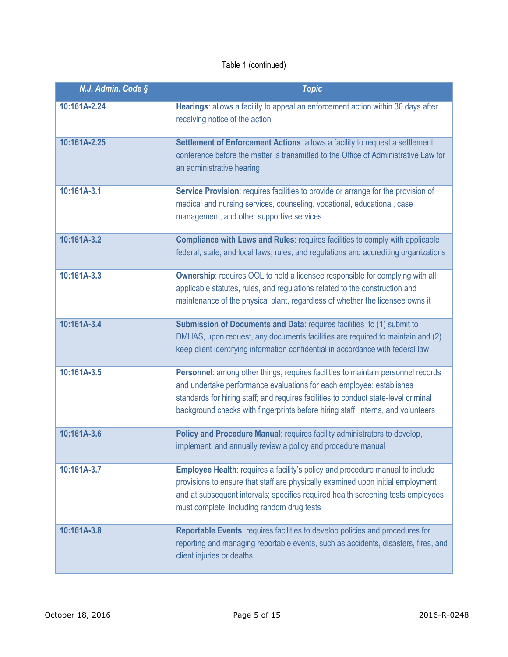| N.J. Admin. Code § | <b>Topic</b>                                                                                                                                                                                                                                                                                                                        |
|--------------------|-------------------------------------------------------------------------------------------------------------------------------------------------------------------------------------------------------------------------------------------------------------------------------------------------------------------------------------|
| 10:161A-2.24       | Hearings: allows a facility to appeal an enforcement action within 30 days after<br>receiving notice of the action                                                                                                                                                                                                                  |
| 10:161A-2.25       | Settlement of Enforcement Actions: allows a facility to request a settlement<br>conference before the matter is transmitted to the Office of Administrative Law for<br>an administrative hearing                                                                                                                                    |
| 10:161A-3.1        | Service Provision: requires facilities to provide or arrange for the provision of<br>medical and nursing services, counseling, vocational, educational, case<br>management, and other supportive services                                                                                                                           |
| 10:161A-3.2        | Compliance with Laws and Rules: requires facilities to comply with applicable<br>federal, state, and local laws, rules, and regulations and accrediting organizations                                                                                                                                                               |
| 10:161A-3.3        | <b>Ownership:</b> requires OOL to hold a licensee responsible for complying with all<br>applicable statutes, rules, and regulations related to the construction and<br>maintenance of the physical plant, regardless of whether the licensee owns it                                                                                |
| 10:161A-3.4        | Submission of Documents and Data: requires facilities to (1) submit to<br>DMHAS, upon request, any documents facilities are required to maintain and (2)<br>keep client identifying information confidential in accordance with federal law                                                                                         |
| 10:161A-3.5        | Personnel: among other things, requires facilities to maintain personnel records<br>and undertake performance evaluations for each employee; establishes<br>standards for hiring staff; and requires facilities to conduct state-level criminal<br>background checks with fingerprints before hiring staff, interns, and volunteers |
| 10:161A-3.6        | Policy and Procedure Manual: requires facility administrators to develop,<br>implement, and annually review a policy and procedure manual                                                                                                                                                                                           |
| 10:161A-3.7        | <b>Employee Health:</b> requires a facility's policy and procedure manual to include<br>provisions to ensure that staff are physically examined upon initial employment<br>and at subsequent intervals; specifies required health screening tests employees<br>must complete, including random drug tests                           |
| 10:161A-3.8        | Reportable Events: requires facilities to develop policies and procedures for<br>reporting and managing reportable events, such as accidents, disasters, fires, and<br>client injuries or deaths                                                                                                                                    |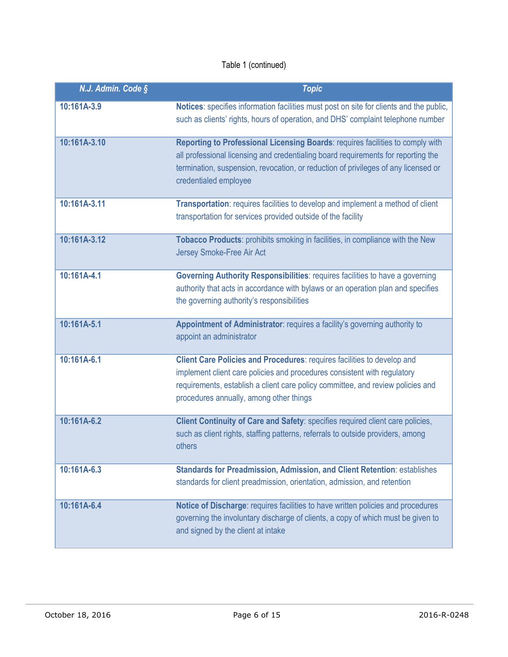| N.J. Admin. Code § | <b>Topic</b>                                                                                                                                                                                                                                                                       |
|--------------------|------------------------------------------------------------------------------------------------------------------------------------------------------------------------------------------------------------------------------------------------------------------------------------|
| 10:161A-3.9        | Notices: specifies information facilities must post on site for clients and the public,<br>such as clients' rights, hours of operation, and DHS' complaint telephone number                                                                                                        |
| 10:161A-3.10       | Reporting to Professional Licensing Boards: requires facilities to comply with<br>all professional licensing and credentialing board requirements for reporting the<br>termination, suspension, revocation, or reduction of privileges of any licensed or<br>credentialed employee |
| 10:161A-3.11       | Transportation: requires facilities to develop and implement a method of client<br>transportation for services provided outside of the facility                                                                                                                                    |
| 10:161A-3.12       | Tobacco Products: prohibits smoking in facilities, in compliance with the New<br>Jersey Smoke-Free Air Act                                                                                                                                                                         |
| 10:161A-4.1        | Governing Authority Responsibilities: requires facilities to have a governing<br>authority that acts in accordance with bylaws or an operation plan and specifies<br>the governing authority's responsibilities                                                                    |
| 10:161A-5.1        | Appointment of Administrator: requires a facility's governing authority to<br>appoint an administrator                                                                                                                                                                             |
| 10:161A-6.1        | Client Care Policies and Procedures: requires facilities to develop and<br>implement client care policies and procedures consistent with regulatory<br>requirements, establish a client care policy committee, and review policies and<br>procedures annually, among other things  |
| 10:161A-6.2        | Client Continuity of Care and Safety: specifies required client care policies,<br>such as client rights, staffing patterns, referrals to outside providers, among<br>others                                                                                                        |
| 10:161A-6.3        | <b>Standards for Preadmission, Admission, and Client Retention: establishes</b><br>standards for client preadmission, orientation, admission, and retention                                                                                                                        |
| 10:161A-6.4        | Notice of Discharge: requires facilities to have written policies and procedures<br>governing the involuntary discharge of clients, a copy of which must be given to<br>and signed by the client at intake                                                                         |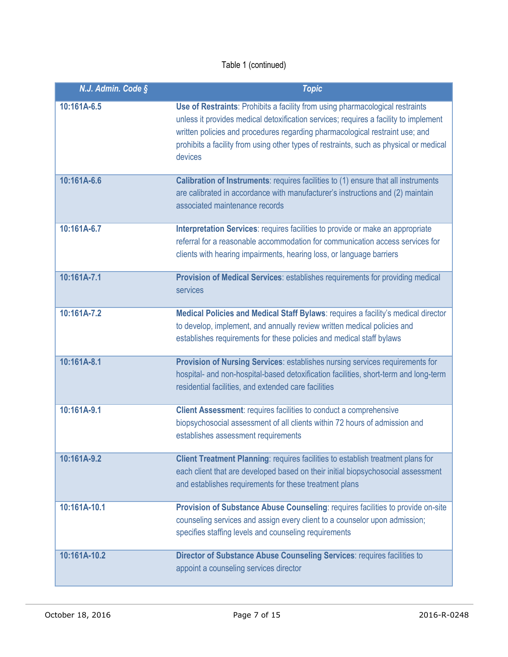| N.J. Admin. Code § | <b>Topic</b>                                                                                                                                                                                                                                                                                                                                               |
|--------------------|------------------------------------------------------------------------------------------------------------------------------------------------------------------------------------------------------------------------------------------------------------------------------------------------------------------------------------------------------------|
| 10:161A-6.5        | Use of Restraints: Prohibits a facility from using pharmacological restraints<br>unless it provides medical detoxification services; requires a facility to implement<br>written policies and procedures regarding pharmacological restraint use; and<br>prohibits a facility from using other types of restraints, such as physical or medical<br>devices |
| 10:161A-6.6        | <b>Calibration of Instruments: requires facilities to (1) ensure that all instruments</b><br>are calibrated in accordance with manufacturer's instructions and (2) maintain<br>associated maintenance records                                                                                                                                              |
| 10:161A-6.7        | Interpretation Services: requires facilities to provide or make an appropriate<br>referral for a reasonable accommodation for communication access services for<br>clients with hearing impairments, hearing loss, or language barriers                                                                                                                    |
| 10:161A-7.1        | Provision of Medical Services: establishes requirements for providing medical<br>services                                                                                                                                                                                                                                                                  |
| 10:161A-7.2        | Medical Policies and Medical Staff Bylaws: requires a facility's medical director<br>to develop, implement, and annually review written medical policies and<br>establishes requirements for these policies and medical staff bylaws                                                                                                                       |
| 10:161A-8.1        | Provision of Nursing Services: establishes nursing services requirements for<br>hospital- and non-hospital-based detoxification facilities, short-term and long-term<br>residential facilities, and extended care facilities                                                                                                                               |
| 10:161A-9.1        | <b>Client Assessment: requires facilities to conduct a comprehensive</b><br>biopsychosocial assessment of all clients within 72 hours of admission and<br>establishes assessment requirements                                                                                                                                                              |
| 10:161A-9.2        | Client Treatment Planning: requires facilities to establish treatment plans for<br>each client that are developed based on their initial biopsychosocial assessment<br>and establishes requirements for these treatment plans                                                                                                                              |
| 10:161A-10.1       | Provision of Substance Abuse Counseling: requires facilities to provide on-site<br>counseling services and assign every client to a counselor upon admission;<br>specifies staffing levels and counseling requirements                                                                                                                                     |
| 10:161A-10.2       | Director of Substance Abuse Counseling Services: requires facilities to<br>appoint a counseling services director                                                                                                                                                                                                                                          |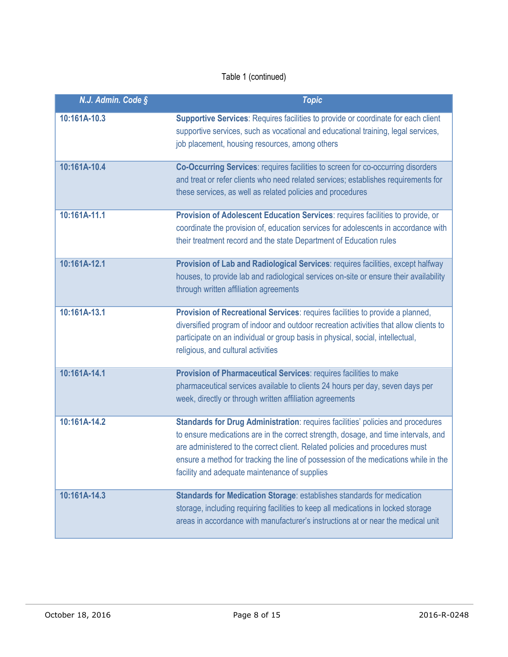| N.J. Admin. Code § | <b>Topic</b>                                                                                                                                                                                                                                                                                                                                                                                  |
|--------------------|-----------------------------------------------------------------------------------------------------------------------------------------------------------------------------------------------------------------------------------------------------------------------------------------------------------------------------------------------------------------------------------------------|
| 10:161A-10.3       | Supportive Services: Requires facilities to provide or coordinate for each client<br>supportive services, such as vocational and educational training, legal services,<br>job placement, housing resources, among others                                                                                                                                                                      |
| 10:161A-10.4       | Co-Occurring Services: requires facilities to screen for co-occurring disorders<br>and treat or refer clients who need related services; establishes requirements for<br>these services, as well as related policies and procedures                                                                                                                                                           |
| 10:161A-11.1       | Provision of Adolescent Education Services: requires facilities to provide, or<br>coordinate the provision of, education services for adolescents in accordance with<br>their treatment record and the state Department of Education rules                                                                                                                                                    |
| 10:161A-12.1       | Provision of Lab and Radiological Services: requires facilities, except halfway<br>houses, to provide lab and radiological services on-site or ensure their availability<br>through written affiliation agreements                                                                                                                                                                            |
| 10:161A-13.1       | Provision of Recreational Services: requires facilities to provide a planned,<br>diversified program of indoor and outdoor recreation activities that allow clients to<br>participate on an individual or group basis in physical, social, intellectual,<br>religious, and cultural activities                                                                                                |
| 10:161A-14.1       | Provision of Pharmaceutical Services: requires facilities to make<br>pharmaceutical services available to clients 24 hours per day, seven days per<br>week, directly or through written affiliation agreements                                                                                                                                                                                |
| 10:161A-14.2       | Standards for Drug Administration: requires facilities' policies and procedures<br>to ensure medications are in the correct strength, dosage, and time intervals, and<br>are administered to the correct client. Related policies and procedures must<br>ensure a method for tracking the line of possession of the medications while in the<br>facility and adequate maintenance of supplies |
| 10:161A-14.3       | Standards for Medication Storage: establishes standards for medication<br>storage, including requiring facilities to keep all medications in locked storage<br>areas in accordance with manufacturer's instructions at or near the medical unit                                                                                                                                               |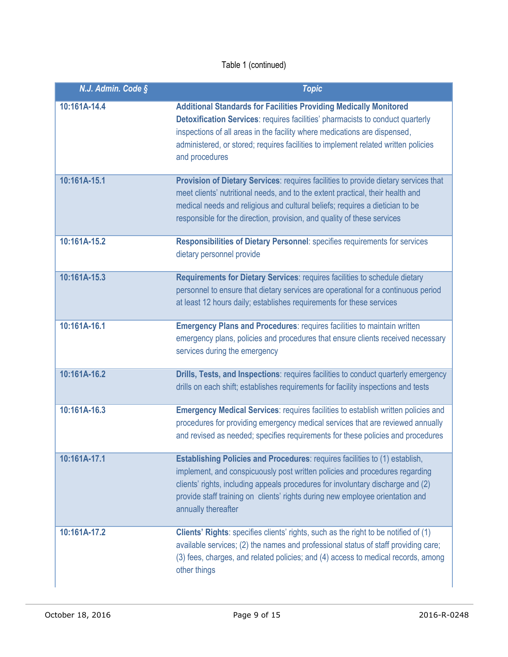| N.J. Admin. Code § | <b>Topic</b>                                                                                                                                                                                                                                                                                                                                                 |
|--------------------|--------------------------------------------------------------------------------------------------------------------------------------------------------------------------------------------------------------------------------------------------------------------------------------------------------------------------------------------------------------|
| 10:161A-14.4       | <b>Additional Standards for Facilities Providing Medically Monitored</b><br><b>Detoxification Services: requires facilities' pharmacists to conduct quarterly</b><br>inspections of all areas in the facility where medications are dispensed,<br>administered, or stored; requires facilities to implement related written policies<br>and procedures       |
| 10:161A-15.1       | Provision of Dietary Services: requires facilities to provide dietary services that<br>meet clients' nutritional needs, and to the extent practical, their health and<br>medical needs and religious and cultural beliefs; requires a dietician to be<br>responsible for the direction, provision, and quality of these services                             |
| 10:161A-15.2       | Responsibilities of Dietary Personnel: specifies requirements for services<br>dietary personnel provide                                                                                                                                                                                                                                                      |
| 10:161A-15.3       | Requirements for Dietary Services: requires facilities to schedule dietary<br>personnel to ensure that dietary services are operational for a continuous period<br>at least 12 hours daily; establishes requirements for these services                                                                                                                      |
| 10:161A-16.1       | <b>Emergency Plans and Procedures: requires facilities to maintain written</b><br>emergency plans, policies and procedures that ensure clients received necessary<br>services during the emergency                                                                                                                                                           |
| 10:161A-16.2       | Drills, Tests, and Inspections: requires facilities to conduct quarterly emergency<br>drills on each shift; establishes requirements for facility inspections and tests                                                                                                                                                                                      |
| 10:161A-16.3       | Emergency Medical Services: requires facilities to establish written policies and<br>procedures for providing emergency medical services that are reviewed annually<br>and revised as needed; specifies requirements for these policies and procedures                                                                                                       |
| 10:161A-17.1       | <b>Establishing Policies and Procedures: requires facilities to (1) establish,</b><br>implement, and conspicuously post written policies and procedures regarding<br>clients' rights, including appeals procedures for involuntary discharge and (2)<br>provide staff training on clients' rights during new employee orientation and<br>annually thereafter |
| 10:161A-17.2       | Clients' Rights: specifies clients' rights, such as the right to be notified of (1)<br>available services; (2) the names and professional status of staff providing care;<br>(3) fees, charges, and related policies; and (4) access to medical records, among<br>other things                                                                               |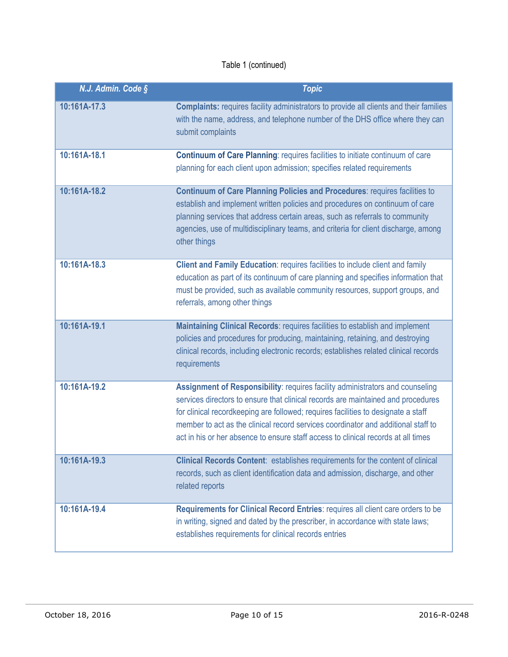| N.J. Admin. Code § | <b>Topic</b>                                                                                                                                                                                                                                                                                                                                                                                                                     |
|--------------------|----------------------------------------------------------------------------------------------------------------------------------------------------------------------------------------------------------------------------------------------------------------------------------------------------------------------------------------------------------------------------------------------------------------------------------|
| 10:161A-17.3       | <b>Complaints:</b> requires facility administrators to provide all clients and their families<br>with the name, address, and telephone number of the DHS office where they can<br>submit complaints                                                                                                                                                                                                                              |
| 10:161A-18.1       | <b>Continuum of Care Planning: requires facilities to initiate continuum of care</b><br>planning for each client upon admission; specifies related requirements                                                                                                                                                                                                                                                                  |
| 10:161A-18.2       | <b>Continuum of Care Planning Policies and Procedures: requires facilities to</b><br>establish and implement written policies and procedures on continuum of care<br>planning services that address certain areas, such as referrals to community<br>agencies, use of multidisciplinary teams, and criteria for client discharge, among<br>other things                                                                          |
| 10:161A-18.3       | Client and Family Education: requires facilities to include client and family<br>education as part of its continuum of care planning and specifies information that<br>must be provided, such as available community resources, support groups, and<br>referrals, among other things                                                                                                                                             |
| 10:161A-19.1       | Maintaining Clinical Records: requires facilities to establish and implement<br>policies and procedures for producing, maintaining, retaining, and destroying<br>clinical records, including electronic records; establishes related clinical records<br>requirements                                                                                                                                                            |
| 10:161A-19.2       | Assignment of Responsibility: requires facility administrators and counseling<br>services directors to ensure that clinical records are maintained and procedures<br>for clinical recordkeeping are followed; requires facilities to designate a staff<br>member to act as the clinical record services coordinator and additional staff to<br>act in his or her absence to ensure staff access to clinical records at all times |
| 10:161A-19.3       | Clinical Records Content: establishes requirements for the content of clinical<br>records, such as client identification data and admission, discharge, and other<br>related reports                                                                                                                                                                                                                                             |
| 10:161A-19.4       | Requirements for Clinical Record Entries: requires all client care orders to be<br>in writing, signed and dated by the prescriber, in accordance with state laws;<br>establishes requirements for clinical records entries                                                                                                                                                                                                       |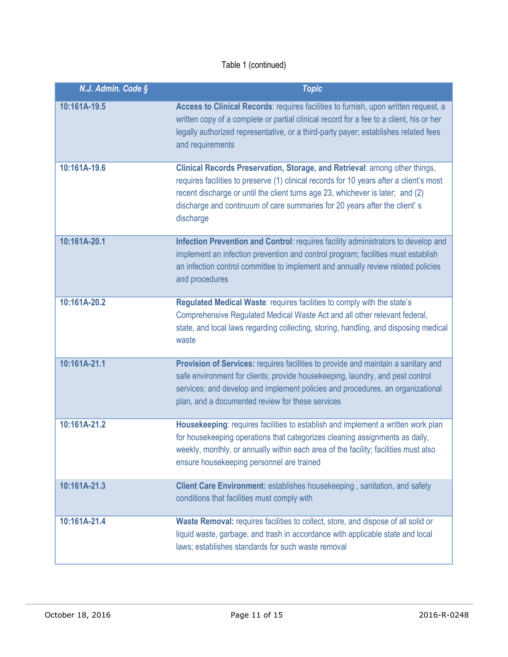| N.J. Admin. Code § | <b>Topic</b>                                                                                                                                                                                                                                                                                                                                      |
|--------------------|---------------------------------------------------------------------------------------------------------------------------------------------------------------------------------------------------------------------------------------------------------------------------------------------------------------------------------------------------|
| 10:161A-19.5       | Access to Clinical Records: requires facilities to furnish, upon written request, a<br>written copy of a complete or partial clinical record for a fee to a client, his or her<br>legally authorized representative, or a third-party payer; establishes related fees<br>and requirements                                                         |
| 10:161A-19.6       | Clinical Records Preservation, Storage, and Retrieval: among other things,<br>requires facilities to preserve (1) clinical records for 10 years after a client's most<br>recent discharge or until the client turns age 23, whichever is later; and (2)<br>discharge and continuum of care summaries for 20 years after the client's<br>discharge |
| 10:161A-20.1       | Infection Prevention and Control: requires facility administrators to develop and<br>implement an infection prevention and control program; facilities must establish<br>an infection control committee to implement and annually review related policies<br>and procedures                                                                       |
| 10:161A-20.2       | Regulated Medical Waste: requires facilities to comply with the state's<br>Comprehensive Regulated Medical Waste Act and all other relevant federal,<br>state, and local laws regarding collecting, storing, handling, and disposing medical<br>waste                                                                                             |
| 10:161A-21.1       | Provision of Services: requires facilities to provide and maintain a sanitary and<br>safe environment for clients; provide housekeeping, laundry, and pest control<br>services; and develop and implement policies and procedures, an organizational<br>plan, and a documented review for these services                                          |
| 10:161A-21.2       | Housekeeping: requires facilities to establish and implement a written work plan<br>for housekeeping operations that categorizes cleaning assignments as daily,<br>weekly, monthly, or annually within each area of the facility; facilities must also<br>ensure housekeeping personnel are trained                                               |
| 10:161A-21.3       | Client Care Environment: establishes housekeeping, sanitation, and safety<br>conditions that facilities must comply with                                                                                                                                                                                                                          |
| 10:161A-21.4       | Waste Removal: requires facilities to collect, store, and dispose of all solid or<br>liquid waste, garbage, and trash in accordance with applicable state and local<br>laws; establishes standards for such waste removal                                                                                                                         |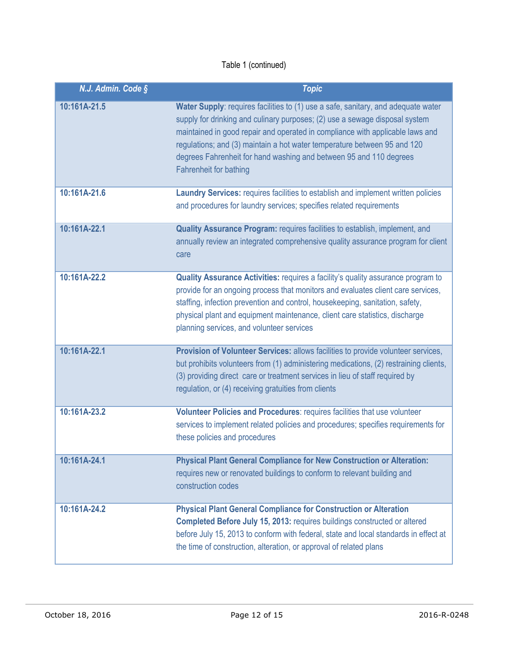| N.J. Admin. Code § | <b>Topic</b>                                                                                                                                                                                                                                                                                                                                                                                                                  |
|--------------------|-------------------------------------------------------------------------------------------------------------------------------------------------------------------------------------------------------------------------------------------------------------------------------------------------------------------------------------------------------------------------------------------------------------------------------|
| 10:161A-21.5       | Water Supply: requires facilities to (1) use a safe, sanitary, and adequate water<br>supply for drinking and culinary purposes; (2) use a sewage disposal system<br>maintained in good repair and operated in compliance with applicable laws and<br>regulations; and (3) maintain a hot water temperature between 95 and 120<br>degrees Fahrenheit for hand washing and between 95 and 110 degrees<br>Fahrenheit for bathing |
| 10:161A-21.6       | Laundry Services: requires facilities to establish and implement written policies<br>and procedures for laundry services; specifies related requirements                                                                                                                                                                                                                                                                      |
| 10:161A-22.1       | Quality Assurance Program: requires facilities to establish, implement, and<br>annually review an integrated comprehensive quality assurance program for client<br>care                                                                                                                                                                                                                                                       |
| 10:161A-22.2       | <b>Quality Assurance Activities: requires a facility's quality assurance program to</b><br>provide for an ongoing process that monitors and evaluates client care services,<br>staffing, infection prevention and control, housekeeping, sanitation, safety,<br>physical plant and equipment maintenance, client care statistics, discharge<br>planning services, and volunteer services                                      |
| 10:161A-22.1       | Provision of Volunteer Services: allows facilities to provide volunteer services,<br>but prohibits volunteers from (1) administering medications, (2) restraining clients,<br>(3) providing direct care or treatment services in lieu of staff required by<br>regulation, or (4) receiving gratuities from clients                                                                                                            |
| 10:161A-23.2       | Volunteer Policies and Procedures: requires facilities that use volunteer<br>services to implement related policies and procedures; specifies requirements for<br>these policies and procedures                                                                                                                                                                                                                               |
| 10:161A-24.1       | <b>Physical Plant General Compliance for New Construction or Alteration:</b><br>requires new or renovated buildings to conform to relevant building and<br>construction codes                                                                                                                                                                                                                                                 |
| 10:161A-24.2       | <b>Physical Plant General Compliance for Construction or Alteration</b><br>Completed Before July 15, 2013: requires buildings constructed or altered<br>before July 15, 2013 to conform with federal, state and local standards in effect at<br>the time of construction, alteration, or approval of related plans                                                                                                            |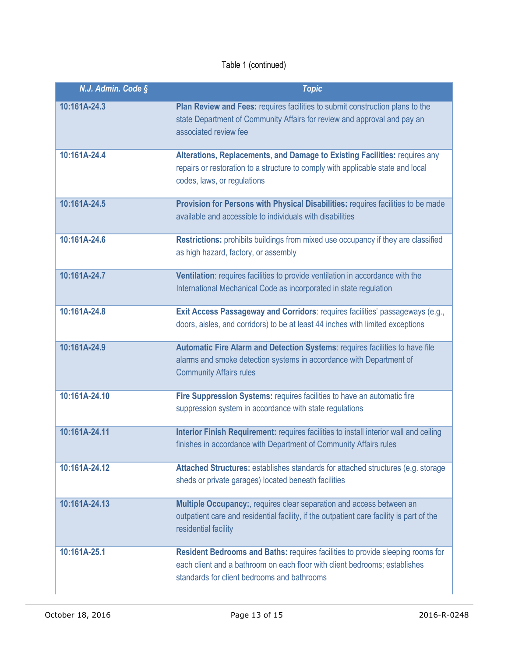| N.J. Admin. Code § | <b>Topic</b>                                                                                                                                                                                                |
|--------------------|-------------------------------------------------------------------------------------------------------------------------------------------------------------------------------------------------------------|
| 10:161A-24.3       | Plan Review and Fees: requires facilities to submit construction plans to the<br>state Department of Community Affairs for review and approval and pay an<br>associated review fee                          |
| 10:161A-24.4       | Alterations, Replacements, and Damage to Existing Facilities: requires any<br>repairs or restoration to a structure to comply with applicable state and local<br>codes, laws, or regulations                |
| 10:161A-24.5       | Provision for Persons with Physical Disabilities: requires facilities to be made<br>available and accessible to individuals with disabilities                                                               |
| 10:161A-24.6       | Restrictions: prohibits buildings from mixed use occupancy if they are classified<br>as high hazard, factory, or assembly                                                                                   |
| 10:161A-24.7       | Ventilation: requires facilities to provide ventilation in accordance with the<br>International Mechanical Code as incorporated in state regulation                                                         |
| 10:161A-24.8       | Exit Access Passageway and Corridors: requires facilities' passageways (e.g.,<br>doors, aisles, and corridors) to be at least 44 inches with limited exceptions                                             |
| 10:161A-24.9       | Automatic Fire Alarm and Detection Systems: requires facilities to have file<br>alarms and smoke detection systems in accordance with Department of<br><b>Community Affairs rules</b>                       |
| 10:161A-24.10      | Fire Suppression Systems: requires facilities to have an automatic fire<br>suppression system in accordance with state regulations                                                                          |
| 10:161A-24.11      | Interior Finish Requirement: requires facilities to install interior wall and ceiling<br>finishes in accordance with Department of Community Affairs rules                                                  |
| 10:161A-24.12      | Attached Structures: establishes standards for attached structures (e.g. storage<br>sheds or private garages) located beneath facilities                                                                    |
| 10:161A-24.13      | Multiple Occupancy:, requires clear separation and access between an<br>outpatient care and residential facility, if the outpatient care facility is part of the<br>residential facility                    |
| 10:161A-25.1       | Resident Bedrooms and Baths: requires facilities to provide sleeping rooms for<br>each client and a bathroom on each floor with client bedrooms; establishes<br>standards for client bedrooms and bathrooms |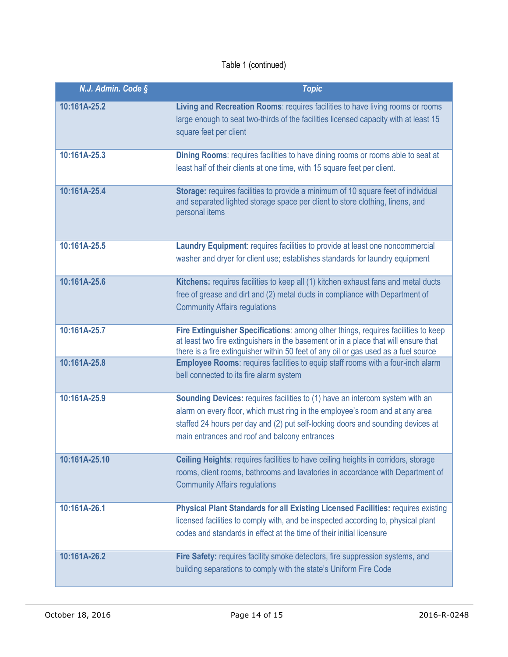| N.J. Admin. Code § | <b>Topic</b>                                                                                                                                                                                                                                                                                            |
|--------------------|---------------------------------------------------------------------------------------------------------------------------------------------------------------------------------------------------------------------------------------------------------------------------------------------------------|
| 10:161A-25.2       | Living and Recreation Rooms: requires facilities to have living rooms or rooms<br>large enough to seat two-thirds of the facilities licensed capacity with at least 15<br>square feet per client                                                                                                        |
| 10:161A-25.3       | Dining Rooms: requires facilities to have dining rooms or rooms able to seat at<br>least half of their clients at one time, with 15 square feet per client.                                                                                                                                             |
| 10:161A-25.4       | Storage: requires facilities to provide a minimum of 10 square feet of individual<br>and separated lighted storage space per client to store clothing, linens, and<br>personal items                                                                                                                    |
| 10:161A-25.5       | Laundry Equipment: requires facilities to provide at least one noncommercial<br>washer and dryer for client use; establishes standards for laundry equipment                                                                                                                                            |
| 10:161A-25.6       | Kitchens: requires facilities to keep all (1) kitchen exhaust fans and metal ducts<br>free of grease and dirt and (2) metal ducts in compliance with Department of<br><b>Community Affairs regulations</b>                                                                                              |
| 10:161A-25.7       | Fire Extinguisher Specifications: among other things, requires facilities to keep<br>at least two fire extinguishers in the basement or in a place that will ensure that<br>there is a fire extinguisher within 50 feet of any oil or gas used as a fuel source                                         |
| 10:161A-25.8       | Employee Rooms: requires facilities to equip staff rooms with a four-inch alarm<br>bell connected to its fire alarm system                                                                                                                                                                              |
| 10:161A-25.9       | <b>Sounding Devices: requires facilities to (1) have an intercom system with an</b><br>alarm on every floor, which must ring in the employee's room and at any area<br>staffed 24 hours per day and (2) put self-locking doors and sounding devices at<br>main entrances and roof and balcony entrances |
| 10:161A-25.10      | Ceiling Heights: requires facilities to have ceiling heights in corridors, storage<br>rooms, client rooms, bathrooms and lavatories in accordance with Department of<br><b>Community Affairs regulations</b>                                                                                            |
| 10:161A-26.1       | Physical Plant Standards for all Existing Licensed Facilities: requires existing<br>licensed facilities to comply with, and be inspected according to, physical plant<br>codes and standards in effect at the time of their initial licensure                                                           |
| 10:161A-26.2       | Fire Safety: requires facility smoke detectors, fire suppression systems, and<br>building separations to comply with the state's Uniform Fire Code                                                                                                                                                      |